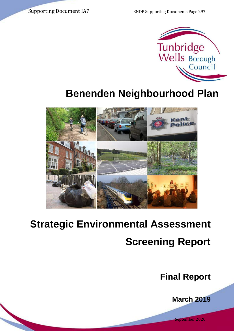Supporting Document IA7 BNDP Supporting Documents Page 297



# **Benenden Neighbourhood Plan**



# **Strategic Environmental Assessment Screening Report**

**Final Report**

**March 2019**

September 2020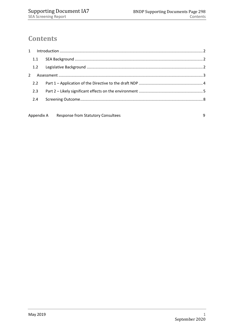# **Contents**

Appendix A Response from Statutory Consultees and the consulter of the Separate Separate Separate Separate Separate Separate Separate Separate Separate Separate Separate Separate Separate Separate Separate Separate Separat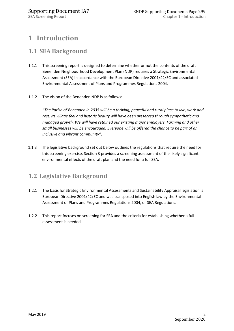# <span id="page-2-0"></span>**1 Introduction**

## <span id="page-2-1"></span>**1.1 SEA Background**

- 1.1.1 This screening report is designed to determine whether or not the contents of the draft Benenden Neighbourhood Development Plan (NDP) requires a Strategic Environmental Assessment (SEA) in accordance with the European Directive 2001/42/EC and associated Environmental Assessment of Plans and Programmes Regulations 2004.
- 1.1.2 The vision of the Benenden NDP is as follows:

"*The Parish of Benenden in 2035 will be a thriving, peaceful and rural place to live, work and rest. Its village feel and historic beauty will have been preserved through sympathetic and managed growth. We will have retained our existing major employers. Farming and other small businesses will be encouraged. Everyone will be offered the chance to be part of an inclusive and vibrant community*".

1.1.3 The legislative background set out below outlines the regulations that require the need for this screening exercise. Section 3 provides a screening assessment of the likely significant environmental effects of the draft plan and the need for a full SEA.

# <span id="page-2-2"></span>**1.2 Legislative Background**

- 1.2.1 The basis for Strategic Environmental Assessments and Sustainability Appraisal legislation is European Directive 2001/42/EC and was transposed into English law by the Environmental Assessment of Plans and Programmes Regulations 2004, or SEA Regulations.
- 1.2.2 This report focuses on screening for SEA and the criteria for establishing whether a full assessment is needed.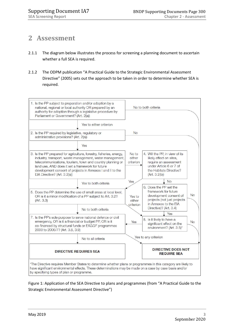# <span id="page-3-0"></span>**2 Assessment**

- 2.1.1 The diagram below illustrates the process for screening a planning document to ascertain whether a full SEA is required.
- 2.1.2 The ODPM publication "A Practical Guide to the Strategic Environmental Assessment Directive" (2005) sets out the approach to be taken in order to determine whether SEA is required.



Figure 1: Application of the SEA Directive to plans and programmes (from "A Practical Guide to the Strategic Environmental Assessment Directive")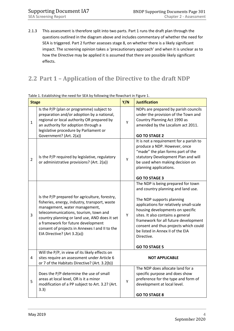2.1.3 This assessment is therefore split into two parts. Part 1 runs the draft plan through the questions outlined in the diagram above and includes commentary of whether the need for SEA is triggered. Part 2 further assesses stage 8, on whether there is a likely significant impact. The screening opinion takes a 'precautionary approach' and when it is unclear as to how the Directive may be applied it is assumed that there are possible likely significant effects.

# <span id="page-4-0"></span>**2.2 Part 1 – Application of the Directive to the draft NDP**

| <b>Stage</b>   |                                                                                                                                                                                                                                                                                                                                                   |                       | <b>Justification</b>                                                                                                                                                                                                                                                                                                                                                                 |
|----------------|---------------------------------------------------------------------------------------------------------------------------------------------------------------------------------------------------------------------------------------------------------------------------------------------------------------------------------------------------|-----------------------|--------------------------------------------------------------------------------------------------------------------------------------------------------------------------------------------------------------------------------------------------------------------------------------------------------------------------------------------------------------------------------------|
| $\mathbf{1}$   | Is the P/P (plan or programme) subject to<br>preparation and/or adoption by a national,<br>regional or local authority OR prepared by<br>an authority for adoption through a<br>legislative procedure by Parliament or<br>Government? (Art. 2(a))                                                                                                 | Y                     | NDPs are prepared by parish councils<br>under the provision of the Town and<br>Country Planning Act 1990 as<br>amended by the Localism act 2011.<br><b>GO TO STAGE 2</b>                                                                                                                                                                                                             |
| $\overline{2}$ | Is the P/P required by legislative, regulatory<br>or administrative provisions? (Art. 2(a))                                                                                                                                                                                                                                                       | Υ                     | It is not a requirement for a parish to<br>produce a NDP. However, once<br>"made" the plan forms part of the<br>statutory Development Plan and will<br>be used when making decision on<br>planning applications.<br><b>GO TO STAGE 3</b>                                                                                                                                             |
| 3              | Is the P/P prepared for agriculture, forestry,<br>fisheries, energy, industry, transport, waste<br>management, water management,<br>telecommunications, tourism, town and<br>country planning or land use, AND does it set<br>a framework for future development<br>consent of projects in Annexes I and II to the<br>EIA Directive? (Art 3.2(a)) | Υ                     | The NDP is being prepared for town<br>and country planning and land use.<br>The NDP supports planning<br>applications for relatively small-scale<br>housing developments on specific<br>sites. It also contains a general<br>framework for all future development<br>consent and thus projects which could<br>be listed in Annex II of the EIA<br>Directive.<br><b>GO TO STAGE 5</b> |
| $\overline{4}$ | Will the P/P, in view of its likely effects on<br>sites require an assessment under Article 6<br>or 7 of the Habitats Directive? (Art. 3.2(b))                                                                                                                                                                                                    | <b>NOT APPLICABLE</b> |                                                                                                                                                                                                                                                                                                                                                                                      |
| 5              | Does the P/P determine the use of small<br>areas at local level, OR is it a minor<br>modification of a PP subject to Art. 3.2? (Art.<br>3.3)                                                                                                                                                                                                      | Υ                     | The NDP does allocate land for a<br>specific purpose and does show<br>preference for the type and form of<br>development at local level.<br><b>GO TO STAGE 8</b>                                                                                                                                                                                                                     |

Table 1. Establishing the need for SEA by following the flowchart in Figure 1.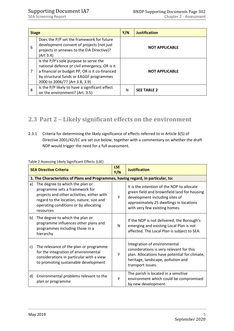| <b>Stage</b> |                                                                                                                                                                                                                        | Y/N                   | <b>Justification</b>  |
|--------------|------------------------------------------------------------------------------------------------------------------------------------------------------------------------------------------------------------------------|-----------------------|-----------------------|
| 6            | Does the P/P set the framework for future<br>development consent of projects (not just<br>projects in annexes to the EIA Directive)?<br>(Art 3.4)                                                                      | <b>NOT APPLICABLE</b> |                       |
| 7            | Is the P/P's sole purpose to serve the<br>national defence or civil emergency, OR is it<br>a financial or budget PP, OR is it co-financed<br>by structural funds or EAGGF programmes<br>2000 to 2006/7? (Art 3.8, 3.9) |                       | <b>NOT APPLICABLE</b> |
| 8            | Is the P/P likely to have a significant effect<br>on the environment? (Art. 3.5)                                                                                                                                       | N                     | <b>SEE TABLE 2</b>    |

# <span id="page-5-0"></span>**2.3 Part 2 – Likely significant effects on the environment**

2.3.1 Criteria for determining the likely significance of effects referred to in Article 3(5) of Directive 2001/42/EC are set out below, together with a commentary on whether the draft NDP would trigger the need for a full assessment.

| <b>SEA Directive Criteria</b> |                                                                                                                                                                                                                   | <b>LSE</b><br>Y/N | <b>Justification</b>                                                                                                                                                                                    |  |
|-------------------------------|-------------------------------------------------------------------------------------------------------------------------------------------------------------------------------------------------------------------|-------------------|---------------------------------------------------------------------------------------------------------------------------------------------------------------------------------------------------------|--|
|                               | 1. The Characteristics of Plans and Programmes, having regard, in particular, to:                                                                                                                                 |                   |                                                                                                                                                                                                         |  |
| a)                            | The degree to which the plan or<br>programme sets a framework for<br>projects and other activities, either with<br>regard to the location, nature, size and<br>operating conditions or by allocating<br>resources | Υ                 | It is the intention of the NDP to allocate<br>green field and brownfield land for housing<br>development including sites of<br>approximately 25 dwellings in locations<br>with very few existing homes. |  |
| b)                            | The degree to which the plan or<br>programme influences other plans and<br>programmes including those in a<br>hierarchy                                                                                           | N                 | If the NDP is not delivered, the Borough's<br>emerging and existing Local Plan is not<br>affected. The Local Plan is subject to SEA.                                                                    |  |
| c)                            | The relevance of the plan or programme<br>for the integration of environmental<br>considerations in particular with a view<br>to promoting sustainable development                                                | Υ                 | Integration of environmental<br>considerations is very relevant for this<br>plan. Allocations have potential for climate,<br>heritage, landscape, pollution and<br>transport issues.                    |  |
| d)                            | Environmental problems relevant to the<br>plan or programme                                                                                                                                                       | Υ                 | The parish is located in a sensitive<br>environment which could be compromised<br>by new development.                                                                                                   |  |

### Table 2 Assessing Likely Significant Effects (LSE)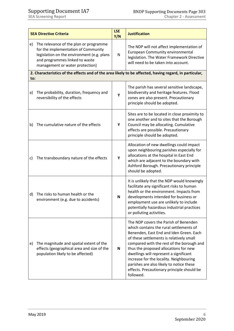|     | <b>SEA Directive Criteria</b>                                                                                                                                                                    | <b>LSE</b><br>Y/N | <b>Justification</b>                                                                                                                                                                                                                                                                                                                                                                                                                                      |
|-----|--------------------------------------------------------------------------------------------------------------------------------------------------------------------------------------------------|-------------------|-----------------------------------------------------------------------------------------------------------------------------------------------------------------------------------------------------------------------------------------------------------------------------------------------------------------------------------------------------------------------------------------------------------------------------------------------------------|
| e)  | The relevance of the plan or programme<br>for the implementation of Community<br>legislation on the environment (e.g. plans<br>and programmes linked to waste<br>management or water protection) | N                 | The NDP will not affect implementation of<br>European Community environmental<br>legislation. The Water Framework Directive<br>will need to be taken into account.                                                                                                                                                                                                                                                                                        |
| to: |                                                                                                                                                                                                  |                   | 2. Characteristics of the effects and of the area likely to be affected, having regard, in particular,                                                                                                                                                                                                                                                                                                                                                    |
| a)  | The probability, duration, frequency and<br>reversibility of the effects                                                                                                                         | Y                 | The parish has several sensitive landscape,<br>biodiversity and heritage features. Flood<br>zones are also present. Precautionary<br>principle should be adopted.                                                                                                                                                                                                                                                                                         |
| b)  | The cumulative nature of the effects                                                                                                                                                             | Y                 | Sites are to be located in close proximity to<br>one another and to sites that the Borough<br>Council may be allocating. Cumulative<br>effects are possible. Precautionary<br>principle should be adopted.                                                                                                                                                                                                                                                |
| c)  | The transboundary nature of the effects                                                                                                                                                          | Y                 | Allocation of new dwellings could impact<br>upon neighbouring parishes especially for<br>allocations at the hospital in East End<br>which are adjacent to the boundary with<br>Ashford Borough. Precautionary principle<br>should be adopted.                                                                                                                                                                                                             |
| d)  | The risks to human health or the<br>environment (e.g. due to accidents)                                                                                                                          | N                 | It is unlikely that the NDP would knowingly<br>facilitate any significant risks to human<br>health or the environment. Impacts from<br>developments intended for business or<br>employment use are unlikely to include<br>potentially hazardous industrial practices<br>or polluting activities.                                                                                                                                                          |
| e)  | The magnitude and spatial extent of the<br>effects (geographical area and size of the<br>population likely to be affected)                                                                       | ${\bf N}$         | The NDP covers the Parish of Benenden<br>which contains the rural settlements of<br>Benenden, East End and Iden Green. Each<br>of these settlements is relatively small<br>compared with the rest of the borough and<br>thus the proposed allocations for new<br>dwellings will represent a significant<br>increase for the locality. Neighbouring<br>parishes are also likely to notice these<br>effects. Precautionary principle should be<br>followed. |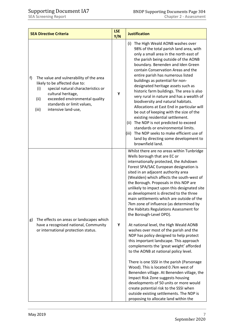| <b>SEA Directive Criteria</b>                                                                                                                                                                                                                             | <b>LSE</b><br>Y/N | <b>Justification</b>                                                                                                                                                                                                                                                                                                                                                                                                                                                                                                                                                                                                                                                                                                                                                                                                                                                                                                                                                                                                                                                                                                                                                  |
|-----------------------------------------------------------------------------------------------------------------------------------------------------------------------------------------------------------------------------------------------------------|-------------------|-----------------------------------------------------------------------------------------------------------------------------------------------------------------------------------------------------------------------------------------------------------------------------------------------------------------------------------------------------------------------------------------------------------------------------------------------------------------------------------------------------------------------------------------------------------------------------------------------------------------------------------------------------------------------------------------------------------------------------------------------------------------------------------------------------------------------------------------------------------------------------------------------------------------------------------------------------------------------------------------------------------------------------------------------------------------------------------------------------------------------------------------------------------------------|
| f)<br>The value and vulnerability of the area<br>likely to be affected due to:<br>special natural characteristics or<br>(i)<br>cultural heritage,<br>(ii)<br>exceeded environmental quality<br>standards or limit values,<br>intensive land-use,<br>(iii) | Υ                 | The High Weald AONB washes over<br>(i)<br>98% of the total parish land area, with<br>only a small area in the north east of<br>the parish being outside of the AONB<br>boundary. Benenden and Iden Green<br>contain Conservation Areas and the<br>entire parish has numerous listed<br>buildings as potential for non-<br>designated heritage assets such as<br>historic farm buildings. The area is also<br>very rural in nature and has a wealth of<br>biodiversity and natural habitats.<br>Allocations at East End in particular will<br>be out of keeping with the size of the<br>existing residential settlement.<br>The NDP is not predicted to exceed<br>(ii)<br>standards or environmental limits.<br>The NDP seeks to make efficient use of<br>(iii)<br>land by directing some development to<br>brownfield land.                                                                                                                                                                                                                                                                                                                                           |
| The effects on areas or landscapes which<br>g)<br>have a recognised national, Community<br>or international protection status.                                                                                                                            | Υ                 | Whilst there are no areas within Tunbridge<br>Wells borough that are EC or<br>internationally protected, the Ashdown<br>Forest SPA/SAC European designation is<br>sited in an adjacent authority area<br>(Wealden) which affects the south-west of<br>the Borough. Proposals in this NDP are<br>unlikely to impact upon this designated site<br>as development is directed to the three<br>main settlements which are outside of the<br>7km zone of influence (as determined by<br>the Habitats Regulations Assessment for<br>the Borough-Level DPD).<br>At national level, the High Weald AONB<br>washes over most of the parish and the<br>NDP has policy designed to help protect<br>this important landscape. This approach<br>complements the 'great weight' afforded<br>to the AONB at national policy level.<br>There is one SSSI in the parish (Parsonage<br>Wood). This is located 0.7km west of<br>Benenden village. At Benenden village, the<br>Impact Risk Zone suggests housing<br>developments of 50 units or more would<br>create potential risk to the SSSI when<br>outside existing settlements. The NDP is<br>proposing to allocate land within the |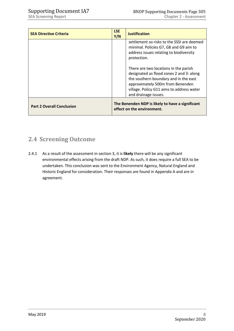| <b>SEA Directive Criteria</b>    | <b>LSE</b><br>Y/N | <b>Justification</b>                                                                                                                                                                                                                |
|----------------------------------|-------------------|-------------------------------------------------------------------------------------------------------------------------------------------------------------------------------------------------------------------------------------|
|                                  |                   | settlement so risks to the SSSL are deemed<br>minimal. Policies G7, G8 and G9 aim to<br>address issues relating to biodiversity<br>protection.                                                                                      |
|                                  |                   | There are two locations in the parish<br>designated as flood zones 2 and 3: along<br>the southern boundary and in the east<br>approximately 500m from Benenden<br>village. Policy G11 aims to address water<br>and drainage issues. |
| <b>Part 2 Overall Conclusion</b> |                   | The Benenden NDP is likely to have a significant<br>effect on the environment.                                                                                                                                                      |

# <span id="page-8-0"></span>**2.4 Screening Outcome**

2.4.1 As a result of the assessment in section 3, it is **likely** there will be any significant environmental effects arising from the draft NDP. As such, it does require a full SEA to be undertaken. This conclusion was sent to the Environment Agency, Natural England and Historic England for consideration. Their responses are found in Appendix A and are in agreement.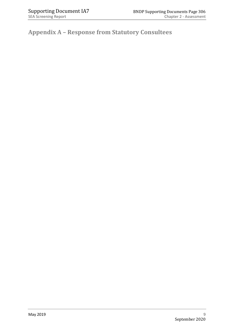**Appendix A – Response from Statutory Consultees**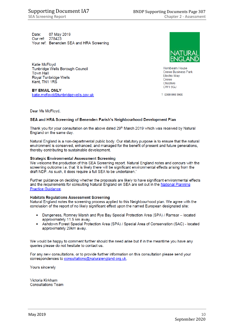07 May 2019 Date: Our ref: 278423 Your ref: Benenden SEA and HRA Screening

Katie McFloyd Tunbridge Wells Borough Council **Town Hall** Royal Tunbridge Wells Kent, TN1 1RS

**BY EMAIL ONLY** katie.mcfloyd@tunbridgewells.gov.uk Crewe Cheshire CW16GJ

Hornbeam House

Electra Wav

**Crewe Business Park** 

T 0300 060 3900

Dear Ms McFloyd,

### SEA and HRA Screening of Benenden Parish's Neighbourhood Development Plan

Thank you for your consultation on the above dated 29th March 2019 which was received by Natural England on the same day.

Natural England is a non-departmental public body. Our statutory purpose is to ensure that the natural environment is conserved, enhanced, and managed for the benefit of present and future generations. thereby contributing to sustainable development.

### **Strategic Environmental Assessment Screening**

We welcome the production of this SEA Screening report. Natural England notes and concurs with the screening outcome i.e. that 'it is likely there will be significant environmental effects arising from the draft NDP. As such, it does require a full SEA to be undertaken.'

Further guidance on deciding whether the proposals are likely to have significant environmental effects and the requirements for consulting Natural England on SEA are set out in the National Planning Practice Guidance.

### **Habitats Regulations Assessment Screening**

Natural England notes the screening process applied to this Neighbourhood plan. We agree with the conclusion of the report of no likely significant effect upon the named European designated site:

- Dungeness, Romney Marsh and Rye Bay Special Protection Area (SPA) / Ramsar located approximately 11.5 km away.
- Ashdown Forest Special Protection Area (SPA) / Special Area of Conservation (SAC) located approximately 29km away.

We would be happy to comment further should the need arise but if in the meantime you have any queries please do not hesitate to contact us.

For any new consultations, or to provide further information on this consultation please send your correspondences to consultations@naturalengland.org.uk.

Yours sincerely

Victoria Kirkham **Consultations Team**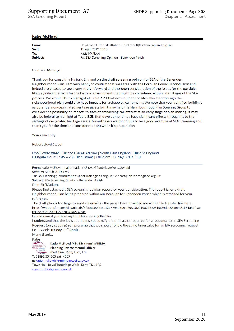### **Katie McFloyd**

| From:    | Lloyd Sweet, Robert <robert.lloydsweet@historicengland.org.uk></robert.lloydsweet@historicengland.org.uk> |
|----------|-----------------------------------------------------------------------------------------------------------|
| Sent:    | 11 April 2019 18:10                                                                                       |
| To:      | Katie McFloyd                                                                                             |
| Subject: | Fw: SEA Screening Opinion - Benenden Parish                                                               |

### Dear Ms. McFloyd

Thank you for consulting Historic England on the draft screening opinion for SEA of the Benenden Neighbourhood Plan. I am very happy to confirm that we agree with the Borough Council's conclusion and indeed are pleased to see a very straightforward and thorough consideration of the issues for the possible likely significant effects for the historic environment that might be considered within later stages of the SEA process. We would like to highlight at Table 2.2.f that development of sites allocated through the neighbourhood plan could also have impacts for archaeological remains. We note that you identified buildings as potential non-designated heritage assets but it may help the Neighbourhood Plan Steering Group to consider the possibility of impacts to sites of archaeological interest at an early stage of plan making. It may also be helpful to highlight at Table 2.2f. that development may have significant effects through its to the settings of designated heritage assets. Nevertheless we found this to be a good example of SEA Screening and thank you for the time and consideration shown in it's preparation.

Yours sincerely

**Robert Lloyd-Sweet** 

Rob Lloyd-Sweet | Historic Places Adviser | South East England | Historic England Eastgate Court | 195 - 205 High Street | Guildford | Surrey | GU1 3EH

From: Katie McFloyd [mailto:Katie.McFloyd@TunbridgeWells.gov.uk] Sent: 29 March 2019 17:39

To: 'KSLPlanning'; 'consultations@naturalengland.org.uk'; 'e-seast@historicengland.org.uk'

Subject: SEA Screening Opinion - Benenden Parish

Dear Sir/Madam.

Please find attached a SEA screening opinion report for your consideration. The report is for a draft Neighbourhood Plan being prepared within our Borough for Benenden Parish which is attached for your reference.

The draft plan is too large to send via email so the parish have provided me with a file transfer link here: https://wetransfer.com/downloads/5f9c6a3862c6a12b7796b8f2e4653c3f20190226203458/9ddc85a0e981b81a52fe8e 690b87f35920190226203458/932e4c

Let me know if you have any troubles accessing the files.

I understand that the legislation does not specify the timescales required for a response to an SEA Screening Request (only scoping) so I presume that we should follow the same timescales for an EIA screening request i.e. 3 weeks (Friday 19<sup>th</sup> April).

Many thanks,



Katie McFloyd MSc BSc (hons) MIEMA **Planning Environmental Officer** 

(Part-time Mon, Tues, Fri) T: 01892 554065 ext: 4065

E: katie.mcfloyd@tunbridgewells.gov.uk Town Hall, Royal Tunbridge Wells, Kent, TN1 1RS

www.tunbridgewells.gov.uk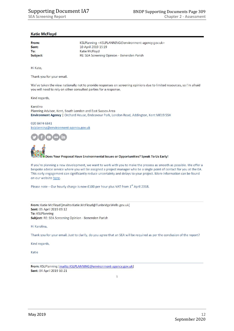### **Katie McFloyd**

| From:    | KSLPlanning <kslplanning@environment-agency.gov.uk></kslplanning@environment-agency.gov.uk> |
|----------|---------------------------------------------------------------------------------------------|
| Sent:    | 10 April 2019 15:19                                                                         |
| To:      | Katie McFloyd                                                                               |
| Subject: | RE: SEA Screening Opinion - Benenden Parish                                                 |

Hi Kate,

Thank you for your email.

We've taken the view nationally not to provide responses on screening opinions due to limited resources, so I'm afraid you will need to rely on other consulted parties for a response.

Kind regards,

Karolina Planning Advisor, Kent, South London and East Sussex Area Environment Agency | Orchard House, Endeavour Park, London Road, Addington, Kent ME19 5SH

### 020 8474 6841

kslplanning@environment-agency.gov.uk



Does Your Proposal Have Environmental Issues or Opportunities? Speak To Us Early!

If you're planning a new development, we want to work with you to make the process as smooth as possible. We offer a bespoke advice service where you will be assigned a project manager who be a single point of contact for you at the EA. This early engagement can significantly reduce uncertainty and delays to your project. More information can be found on our website here.

Please note – Our hourly charge is now £100 per hour plus VAT from  $1<sup>st</sup>$  April 2018.

From: Katie McFloyd [mailto:Katie.McFloyd@TunbridgeWells.gov.uk] Sent: 05 April 2019 09:12 To: KSLPlanning Subject: RE: SEA Screening Opinion - Benenden Parish

Hi Karolina,

Thank you for your email. Just to clarify, do you agree that an SEA will be required as per the conclusion of the report?

Kind regards,

Katie

From: KSLPlanning [mailto:KSLPLANNING@environment-agency.gov.uk] Sent: 04 April 2019 10:21

 $\mathbf{1}$